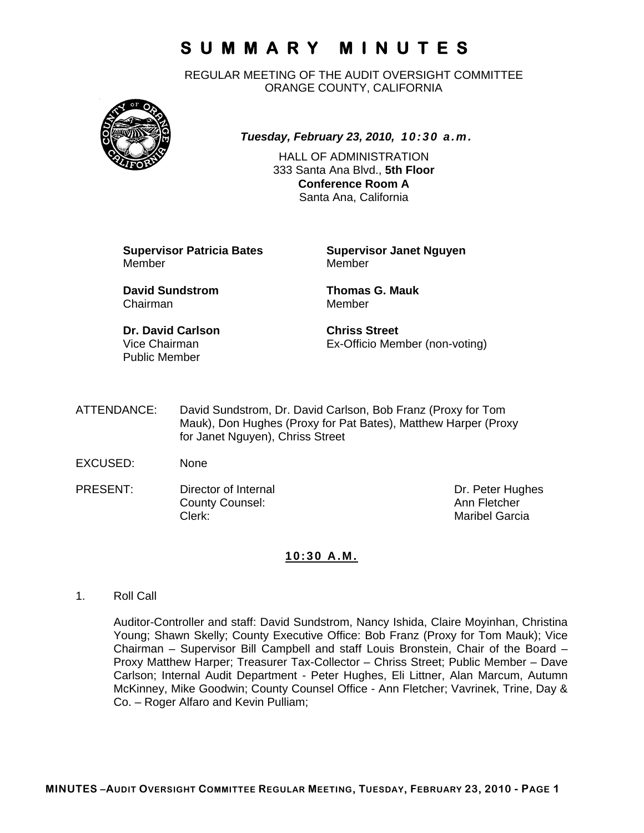REGULAR MEETING OF THE AUDIT OVERSIGHT COMMITTEE ORANGE COUNTY, CALIFORNIA



#### *Tuesday, February 23, 2010, 10:30 a.m.*

HALL OF ADMINISTRATION 333 Santa Ana Blvd., **5th Floor Conference Room A**  Santa Ana, California

**Supervisor Patricia Bates Supervisor Janet Nguyen** Member Member

**David Sundstrom Thomas G. Mauk**  Chairman Member

**Dr. David Carlson Chriss Street** Public Member

Vice Chairman Ex-Officio Member (non-voting)

- ATTENDANCE: David Sundstrom, Dr. David Carlson, Bob Franz (Proxy for Tom Mauk), Don Hughes (Proxy for Pat Bates), Matthew Harper (Proxy for Janet Nguyen), Chriss Street
- EXCUSED: None
- PRESENT: Director of Internal Dr. Peter Hughes County Counsel: Counsel: Ann Fletcher<br>
Clerk: Maribel Garci

Maribel Garcia

#### **10:30 A.M.**

1. Roll Call

Auditor-Controller and staff: David Sundstrom, Nancy Ishida, Claire Moyinhan, Christina Young; Shawn Skelly; County Executive Office: Bob Franz (Proxy for Tom Mauk); Vice Chairman – Supervisor Bill Campbell and staff Louis Bronstein, Chair of the Board – Proxy Matthew Harper; Treasurer Tax-Collector – Chriss Street; Public Member – Dave Carlson; Internal Audit Department - Peter Hughes, Eli Littner, Alan Marcum, Autumn McKinney, Mike Goodwin; County Counsel Office - Ann Fletcher; Vavrinek, Trine, Day & Co. – Roger Alfaro and Kevin Pulliam;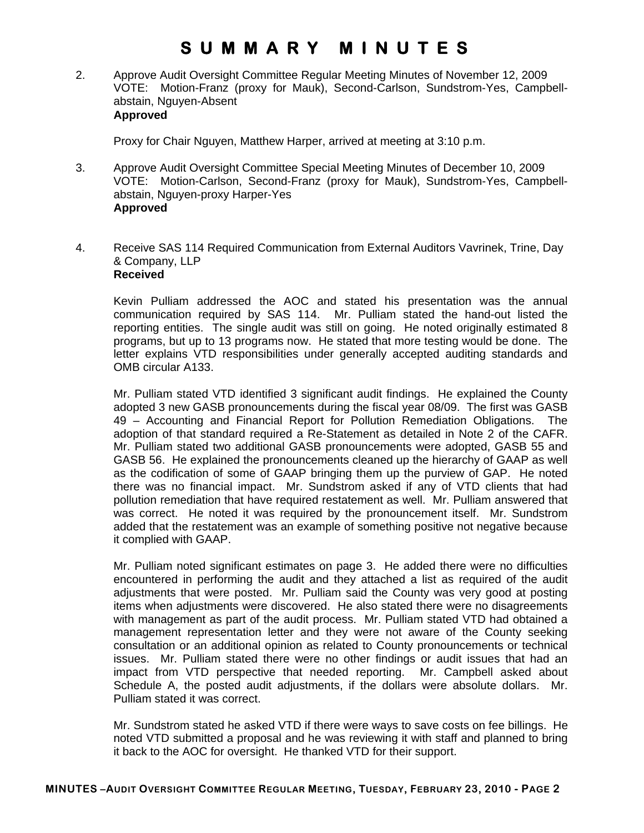2. Approve Audit Oversight Committee Regular Meeting Minutes of November 12, 2009 VOTE: Motion-Franz (proxy for Mauk), Second-Carlson, Sundstrom-Yes, Campbellabstain, Nguyen-Absent **Approved** 

Proxy for Chair Nguyen, Matthew Harper, arrived at meeting at 3:10 p.m.

- 3. Approve Audit Oversight Committee Special Meeting Minutes of December 10, 2009 VOTE: Motion-Carlson, Second-Franz (proxy for Mauk), Sundstrom-Yes, Campbellabstain, Nguyen-proxy Harper-Yes **Approved**
- 4. Receive SAS 114 Required Communication from External Auditors Vavrinek, Trine, Day & Company, LLP **Received**

 Kevin Pulliam addressed the AOC and stated his presentation was the annual communication required by SAS 114. Mr. Pulliam stated the hand-out listed the reporting entities. The single audit was still on going. He noted originally estimated 8 programs, but up to 13 programs now. He stated that more testing would be done. The letter explains VTD responsibilities under generally accepted auditing standards and OMB circular A133.

Mr. Pulliam stated VTD identified 3 significant audit findings. He explained the County adopted 3 new GASB pronouncements during the fiscal year 08/09. The first was GASB 49 – Accounting and Financial Report for Pollution Remediation Obligations. The adoption of that standard required a Re-Statement as detailed in Note 2 of the CAFR. Mr. Pulliam stated two additional GASB pronouncements were adopted, GASB 55 and GASB 56. He explained the pronouncements cleaned up the hierarchy of GAAP as well as the codification of some of GAAP bringing them up the purview of GAP. He noted there was no financial impact. Mr. Sundstrom asked if any of VTD clients that had pollution remediation that have required restatement as well. Mr. Pulliam answered that was correct. He noted it was required by the pronouncement itself. Mr. Sundstrom added that the restatement was an example of something positive not negative because it complied with GAAP.

Mr. Pulliam noted significant estimates on page 3. He added there were no difficulties encountered in performing the audit and they attached a list as required of the audit adjustments that were posted. Mr. Pulliam said the County was very good at posting items when adjustments were discovered. He also stated there were no disagreements with management as part of the audit process. Mr. Pulliam stated VTD had obtained a management representation letter and they were not aware of the County seeking consultation or an additional opinion as related to County pronouncements or technical issues. Mr. Pulliam stated there were no other findings or audit issues that had an impact from VTD perspective that needed reporting. Mr. Campbell asked about Schedule A, the posted audit adjustments, if the dollars were absolute dollars. Mr. Pulliam stated it was correct.

Mr. Sundstrom stated he asked VTD if there were ways to save costs on fee billings. He noted VTD submitted a proposal and he was reviewing it with staff and planned to bring it back to the AOC for oversight. He thanked VTD for their support.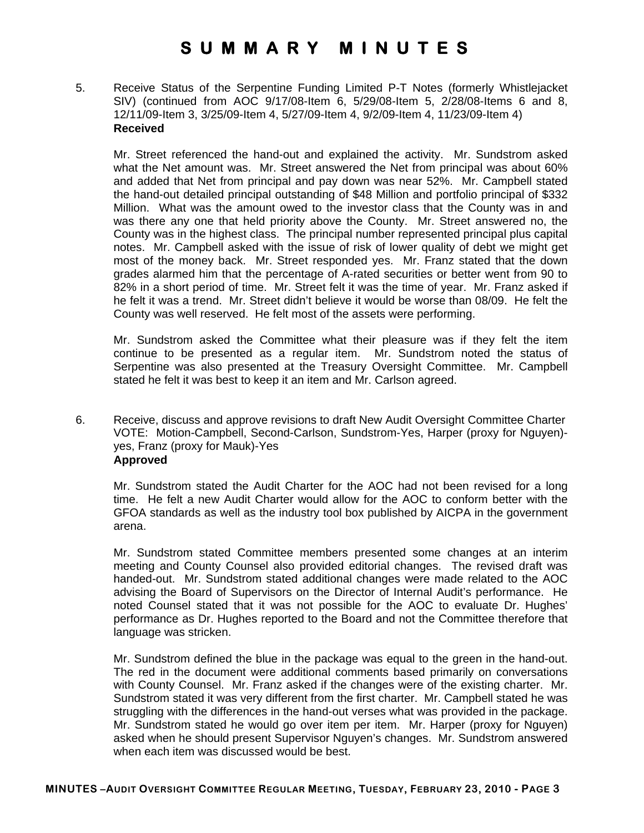5. Receive Status of the Serpentine Funding Limited P-T Notes (formerly Whistlejacket SIV) (continued from AOC 9/17/08-Item 6, 5/29/08-Item 5, 2/28/08-Items 6 and 8, 12/11/09-Item 3, 3/25/09-Item 4, 5/27/09-Item 4, 9/2/09-Item 4, 11/23/09-Item 4) **Received** 

Mr. Street referenced the hand-out and explained the activity. Mr. Sundstrom asked what the Net amount was. Mr. Street answered the Net from principal was about 60% and added that Net from principal and pay down was near 52%. Mr. Campbell stated the hand-out detailed principal outstanding of \$48 Million and portfolio principal of \$332 Million. What was the amount owed to the investor class that the County was in and was there any one that held priority above the County. Mr. Street answered no, the County was in the highest class. The principal number represented principal plus capital notes. Mr. Campbell asked with the issue of risk of lower quality of debt we might get most of the money back. Mr. Street responded yes. Mr. Franz stated that the down grades alarmed him that the percentage of A-rated securities or better went from 90 to 82% in a short period of time. Mr. Street felt it was the time of year. Mr. Franz asked if he felt it was a trend. Mr. Street didn't believe it would be worse than 08/09. He felt the County was well reserved. He felt most of the assets were performing.

Mr. Sundstrom asked the Committee what their pleasure was if they felt the item continue to be presented as a regular item. Mr. Sundstrom noted the status of Serpentine was also presented at the Treasury Oversight Committee. Mr. Campbell stated he felt it was best to keep it an item and Mr. Carlson agreed.

6. Receive, discuss and approve revisions to draft New Audit Oversight Committee Charter VOTE: Motion-Campbell, Second-Carlson, Sundstrom-Yes, Harper (proxy for Nguyen) yes, Franz (proxy for Mauk)-Yes **Approved**

Mr. Sundstrom stated the Audit Charter for the AOC had not been revised for a long time. He felt a new Audit Charter would allow for the AOC to conform better with the GFOA standards as well as the industry tool box published by AICPA in the government arena.

Mr. Sundstrom stated Committee members presented some changes at an interim meeting and County Counsel also provided editorial changes. The revised draft was handed-out. Mr. Sundstrom stated additional changes were made related to the AOC advising the Board of Supervisors on the Director of Internal Audit's performance. He noted Counsel stated that it was not possible for the AOC to evaluate Dr. Hughes' performance as Dr. Hughes reported to the Board and not the Committee therefore that language was stricken.

Mr. Sundstrom defined the blue in the package was equal to the green in the hand-out. The red in the document were additional comments based primarily on conversations with County Counsel. Mr. Franz asked if the changes were of the existing charter. Mr. Sundstrom stated it was very different from the first charter. Mr. Campbell stated he was struggling with the differences in the hand-out verses what was provided in the package. Mr. Sundstrom stated he would go over item per item. Mr. Harper (proxy for Nguyen) asked when he should present Supervisor Nguyen's changes. Mr. Sundstrom answered when each item was discussed would be best.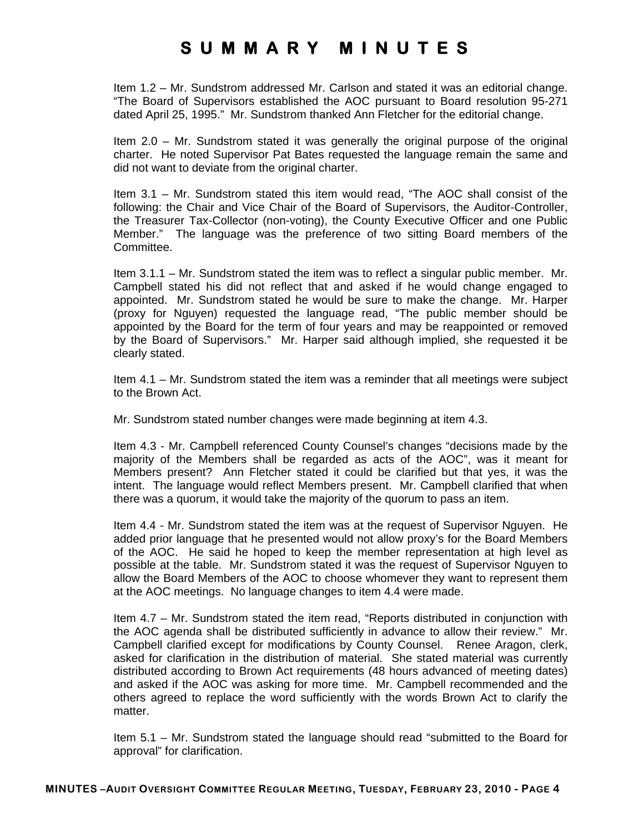Item 1.2 – Mr. Sundstrom addressed Mr. Carlson and stated it was an editorial change. "The Board of Supervisors established the AOC pursuant to Board resolution 95-271 dated April 25, 1995." Mr. Sundstrom thanked Ann Fletcher for the editorial change.

Item 2.0 – Mr. Sundstrom stated it was generally the original purpose of the original charter. He noted Supervisor Pat Bates requested the language remain the same and did not want to deviate from the original charter.

Item 3.1 – Mr. Sundstrom stated this item would read, "The AOC shall consist of the following: the Chair and Vice Chair of the Board of Supervisors, the Auditor-Controller, the Treasurer Tax-Collector (non-voting), the County Executive Officer and one Public Member." The language was the preference of two sitting Board members of the Committee.

Item 3.1.1 – Mr. Sundstrom stated the item was to reflect a singular public member. Mr. Campbell stated his did not reflect that and asked if he would change engaged to appointed. Mr. Sundstrom stated he would be sure to make the change. Mr. Harper (proxy for Nguyen) requested the language read, "The public member should be appointed by the Board for the term of four years and may be reappointed or removed by the Board of Supervisors." Mr. Harper said although implied, she requested it be clearly stated.

Item 4.1 – Mr. Sundstrom stated the item was a reminder that all meetings were subject to the Brown Act.

Mr. Sundstrom stated number changes were made beginning at item 4.3.

Item 4.3 - Mr. Campbell referenced County Counsel's changes "decisions made by the majority of the Members shall be regarded as acts of the AOC", was it meant for Members present? Ann Fletcher stated it could be clarified but that yes, it was the intent. The language would reflect Members present. Mr. Campbell clarified that when there was a quorum, it would take the majority of the quorum to pass an item.

Item 4.4 - Mr. Sundstrom stated the item was at the request of Supervisor Nguyen. He added prior language that he presented would not allow proxy's for the Board Members of the AOC. He said he hoped to keep the member representation at high level as possible at the table. Mr. Sundstrom stated it was the request of Supervisor Nguyen to allow the Board Members of the AOC to choose whomever they want to represent them at the AOC meetings. No language changes to item 4.4 were made.

Item 4.7 – Mr. Sundstrom stated the item read, "Reports distributed in conjunction with the AOC agenda shall be distributed sufficiently in advance to allow their review." Mr. Campbell clarified except for modifications by County Counsel. Renee Aragon, clerk, asked for clarification in the distribution of material. She stated material was currently distributed according to Brown Act requirements (48 hours advanced of meeting dates) and asked if the AOC was asking for more time. Mr. Campbell recommended and the others agreed to replace the word sufficiently with the words Brown Act to clarify the matter.

Item 5.1 – Mr. Sundstrom stated the language should read "submitted to the Board for approval" for clarification.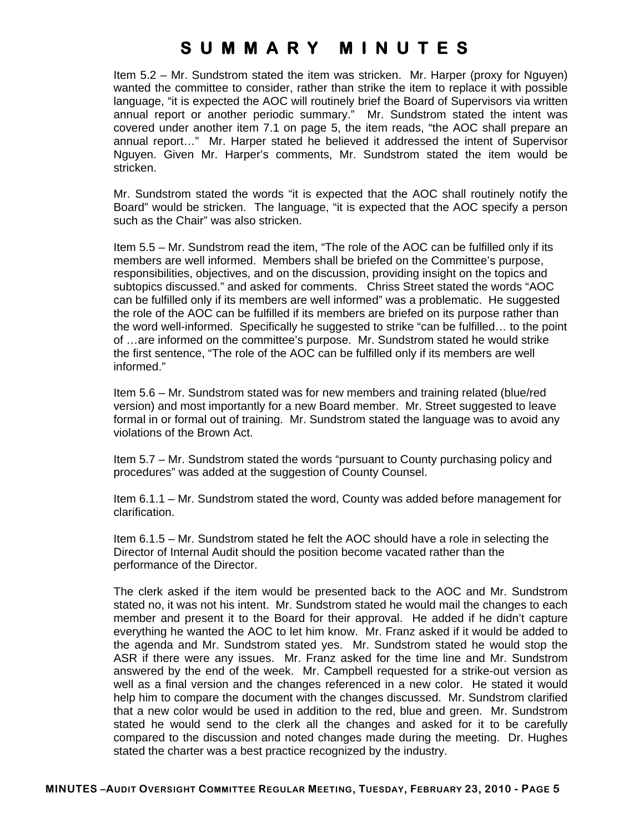Item 5.2 – Mr. Sundstrom stated the item was stricken. Mr. Harper (proxy for Nguyen) wanted the committee to consider, rather than strike the item to replace it with possible language, "it is expected the AOC will routinely brief the Board of Supervisors via written annual report or another periodic summary." Mr. Sundstrom stated the intent was covered under another item 7.1 on page 5, the item reads, "the AOC shall prepare an annual report…" Mr. Harper stated he believed it addressed the intent of Supervisor Nguyen. Given Mr. Harper's comments, Mr. Sundstrom stated the item would be stricken.

Mr. Sundstrom stated the words "it is expected that the AOC shall routinely notify the Board" would be stricken. The language, "it is expected that the AOC specify a person such as the Chair" was also stricken.

Item 5.5 – Mr. Sundstrom read the item, "The role of the AOC can be fulfilled only if its members are well informed. Members shall be briefed on the Committee's purpose, responsibilities, objectives, and on the discussion, providing insight on the topics and subtopics discussed." and asked for comments. Chriss Street stated the words "AOC can be fulfilled only if its members are well informed" was a problematic. He suggested the role of the AOC can be fulfilled if its members are briefed on its purpose rather than the word well-informed. Specifically he suggested to strike "can be fulfilled… to the point of …are informed on the committee's purpose. Mr. Sundstrom stated he would strike the first sentence, "The role of the AOC can be fulfilled only if its members are well informed."

Item 5.6 – Mr. Sundstrom stated was for new members and training related (blue/red version) and most importantly for a new Board member. Mr. Street suggested to leave formal in or formal out of training. Mr. Sundstrom stated the language was to avoid any violations of the Brown Act.

Item 5.7 – Mr. Sundstrom stated the words "pursuant to County purchasing policy and procedures" was added at the suggestion of County Counsel.

Item 6.1.1 – Mr. Sundstrom stated the word, County was added before management for clarification.

Item 6.1.5 – Mr. Sundstrom stated he felt the AOC should have a role in selecting the Director of Internal Audit should the position become vacated rather than the performance of the Director.

The clerk asked if the item would be presented back to the AOC and Mr. Sundstrom stated no, it was not his intent. Mr. Sundstrom stated he would mail the changes to each member and present it to the Board for their approval. He added if he didn't capture everything he wanted the AOC to let him know. Mr. Franz asked if it would be added to the agenda and Mr. Sundstrom stated yes. Mr. Sundstrom stated he would stop the ASR if there were any issues. Mr. Franz asked for the time line and Mr. Sundstrom answered by the end of the week. Mr. Campbell requested for a strike-out version as well as a final version and the changes referenced in a new color. He stated it would help him to compare the document with the changes discussed. Mr. Sundstrom clarified that a new color would be used in addition to the red, blue and green. Mr. Sundstrom stated he would send to the clerk all the changes and asked for it to be carefully compared to the discussion and noted changes made during the meeting. Dr. Hughes stated the charter was a best practice recognized by the industry.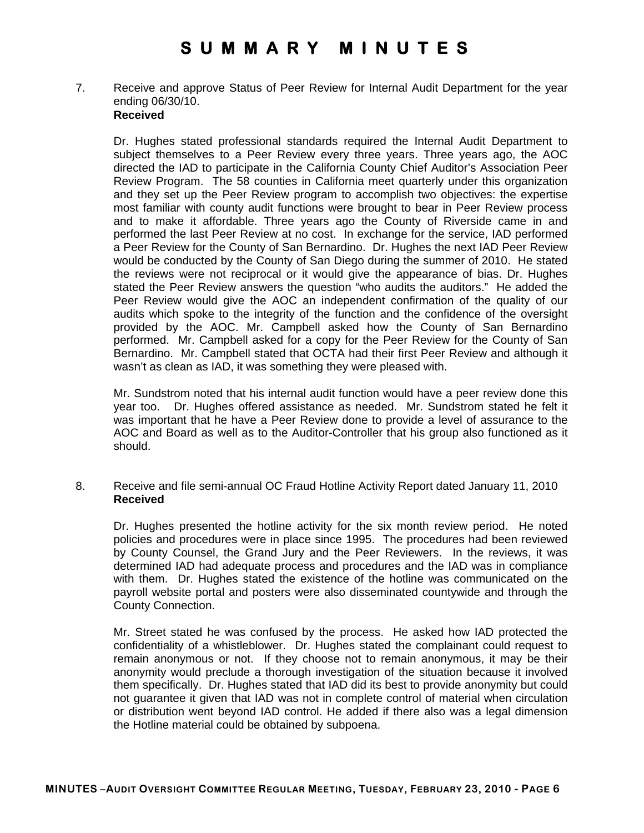7. Receive and approve Status of Peer Review for Internal Audit Department for the year ending 06/30/10. **Received**

Dr. Hughes stated professional standards required the Internal Audit Department to subject themselves to a Peer Review every three years. Three years ago, the AOC directed the IAD to participate in the California County Chief Auditor's Association Peer Review Program. The 58 counties in California meet quarterly under this organization and they set up the Peer Review program to accomplish two objectives: the expertise most familiar with county audit functions were brought to bear in Peer Review process and to make it affordable. Three years ago the County of Riverside came in and performed the last Peer Review at no cost. In exchange for the service, IAD performed a Peer Review for the County of San Bernardino. Dr. Hughes the next IAD Peer Review would be conducted by the County of San Diego during the summer of 2010. He stated the reviews were not reciprocal or it would give the appearance of bias. Dr. Hughes stated the Peer Review answers the question "who audits the auditors." He added the Peer Review would give the AOC an independent confirmation of the quality of our audits which spoke to the integrity of the function and the confidence of the oversight provided by the AOC. Mr. Campbell asked how the County of San Bernardino performed. Mr. Campbell asked for a copy for the Peer Review for the County of San Bernardino. Mr. Campbell stated that OCTA had their first Peer Review and although it wasn't as clean as IAD, it was something they were pleased with.

Mr. Sundstrom noted that his internal audit function would have a peer review done this year too. Dr. Hughes offered assistance as needed. Mr. Sundstrom stated he felt it was important that he have a Peer Review done to provide a level of assurance to the AOC and Board as well as to the Auditor-Controller that his group also functioned as it should.

8. Receive and file semi-annual OC Fraud Hotline Activity Report dated January 11, 2010 **Received**

Dr. Hughes presented the hotline activity for the six month review period. He noted policies and procedures were in place since 1995. The procedures had been reviewed by County Counsel, the Grand Jury and the Peer Reviewers. In the reviews, it was determined IAD had adequate process and procedures and the IAD was in compliance with them. Dr. Hughes stated the existence of the hotline was communicated on the payroll website portal and posters were also disseminated countywide and through the County Connection.

Mr. Street stated he was confused by the process. He asked how IAD protected the confidentiality of a whistleblower. Dr. Hughes stated the complainant could request to remain anonymous or not. If they choose not to remain anonymous, it may be their anonymity would preclude a thorough investigation of the situation because it involved them specifically. Dr. Hughes stated that IAD did its best to provide anonymity but could not guarantee it given that IAD was not in complete control of material when circulation or distribution went beyond IAD control. He added if there also was a legal dimension the Hotline material could be obtained by subpoena.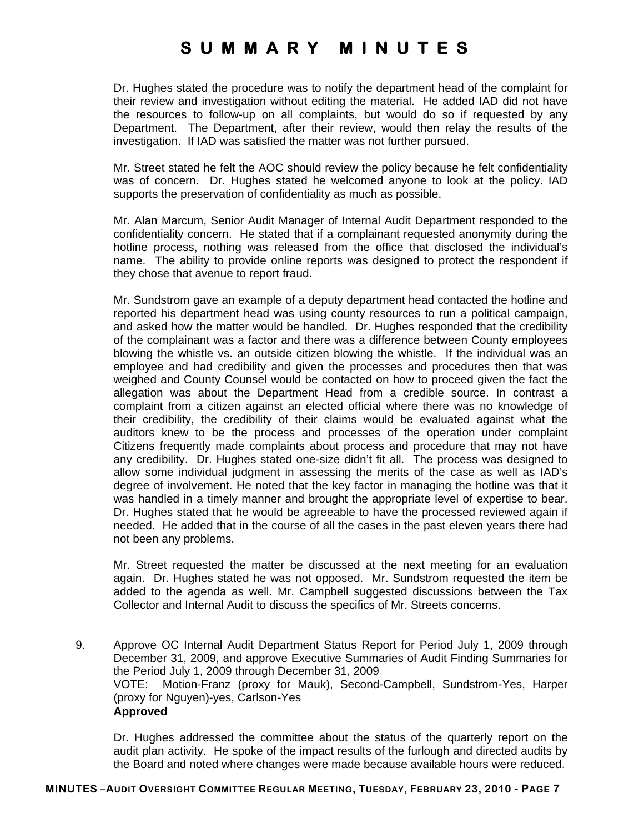Dr. Hughes stated the procedure was to notify the department head of the complaint for their review and investigation without editing the material. He added IAD did not have the resources to follow-up on all complaints, but would do so if requested by any Department. The Department, after their review, would then relay the results of the investigation. If IAD was satisfied the matter was not further pursued.

Mr. Street stated he felt the AOC should review the policy because he felt confidentiality was of concern. Dr. Hughes stated he welcomed anyone to look at the policy. IAD supports the preservation of confidentiality as much as possible.

Mr. Alan Marcum, Senior Audit Manager of Internal Audit Department responded to the confidentiality concern. He stated that if a complainant requested anonymity during the hotline process, nothing was released from the office that disclosed the individual's name. The ability to provide online reports was designed to protect the respondent if they chose that avenue to report fraud.

Mr. Sundstrom gave an example of a deputy department head contacted the hotline and reported his department head was using county resources to run a political campaign, and asked how the matter would be handled. Dr. Hughes responded that the credibility of the complainant was a factor and there was a difference between County employees blowing the whistle vs. an outside citizen blowing the whistle. If the individual was an employee and had credibility and given the processes and procedures then that was weighed and County Counsel would be contacted on how to proceed given the fact the allegation was about the Department Head from a credible source. In contrast a complaint from a citizen against an elected official where there was no knowledge of their credibility, the credibility of their claims would be evaluated against what the auditors knew to be the process and processes of the operation under complaint Citizens frequently made complaints about process and procedure that may not have any credibility. Dr. Hughes stated one-size didn't fit all. The process was designed to allow some individual judgment in assessing the merits of the case as well as IAD's degree of involvement. He noted that the key factor in managing the hotline was that it was handled in a timely manner and brought the appropriate level of expertise to bear. Dr. Hughes stated that he would be agreeable to have the processed reviewed again if needed. He added that in the course of all the cases in the past eleven years there had not been any problems.

Mr. Street requested the matter be discussed at the next meeting for an evaluation again. Dr. Hughes stated he was not opposed. Mr. Sundstrom requested the item be added to the agenda as well. Mr. Campbell suggested discussions between the Tax Collector and Internal Audit to discuss the specifics of Mr. Streets concerns.

9. Approve OC Internal Audit Department Status Report for Period July 1, 2009 through December 31, 2009, and approve Executive Summaries of Audit Finding Summaries for the Period July 1, 2009 through December 31, 2009 VOTE: Motion-Franz (proxy for Mauk), Second-Campbell, Sundstrom-Yes, Harper (proxy for Nguyen)-yes, Carlson-Yes **Approved**

Dr. Hughes addressed the committee about the status of the quarterly report on the audit plan activity. He spoke of the impact results of the furlough and directed audits by the Board and noted where changes were made because available hours were reduced.